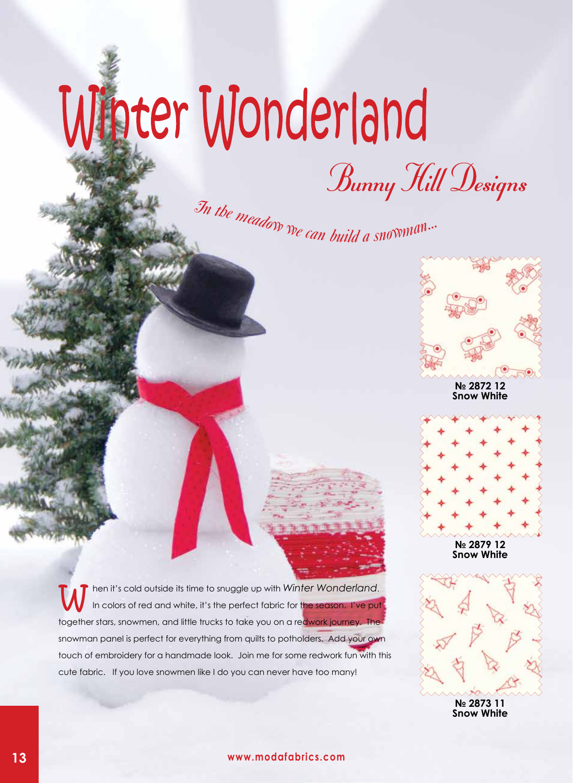## Winter Wonderland

Bunny Hill Designs<br>In the meadow we can build a snowman...



**№ 2872 12 Snow White**



**№ 2879 12 Snow White**

hen it's cold outside its time to snuggle up with *Winter Wonderland*. In colors of red and white, it's the perfect fabric for the season. I've put together stars, snowmen, and little trucks to take you on a redwork journey. The snowman panel is perfect for everything from quilts to potholders. Add your own touch of embroidery for a handmade look. Join me for some redwork fun with this cute fabric. If you love snowmen like I do you can never have too many!



**№ 2873 11 Snow White**

## **13 www.modafabrics.com**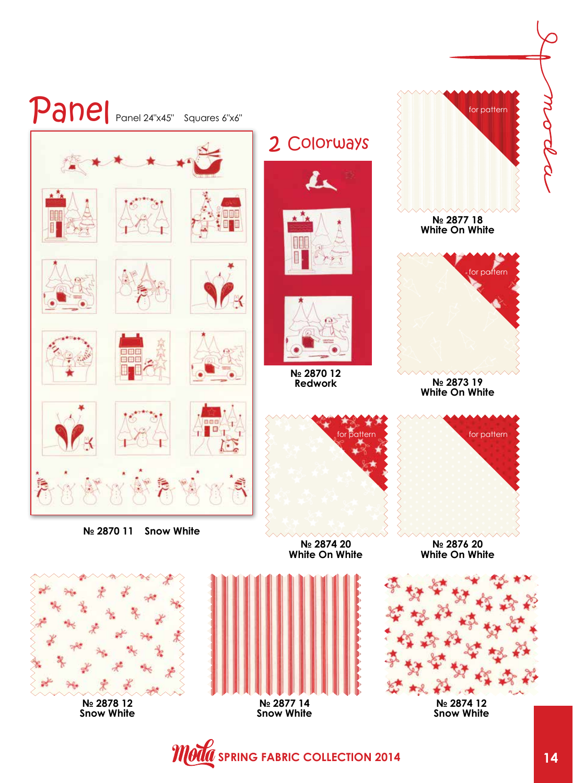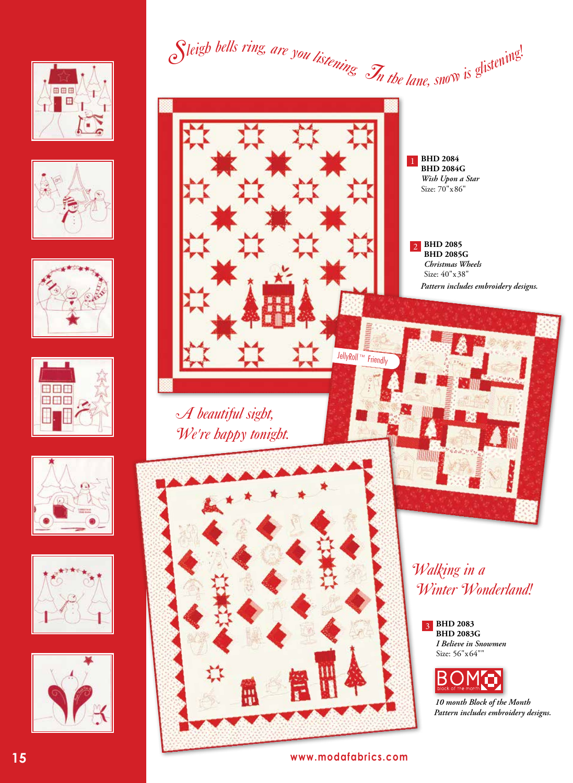













Sleigh bells ring, are you listening. In the lane, snow is glistening!



*A beautiful sight, We're happy tonight.*



**BHD 2084**  1 **BHD 2084G** *Wish Upon a Star* Size: 70"x86"

**BHD 2085**  2 **BHD 2085G** *Christmas Wheels* Size: 40"x38" *Pattern includes embroidery designs.*



**BHD 2083**  3 **BHD 2083G** *I Believe in Snowmen* Size: 56"x64""



*10 month Block of the Month Pattern includes embroidery designs.*

**15 www.modafabrics.com**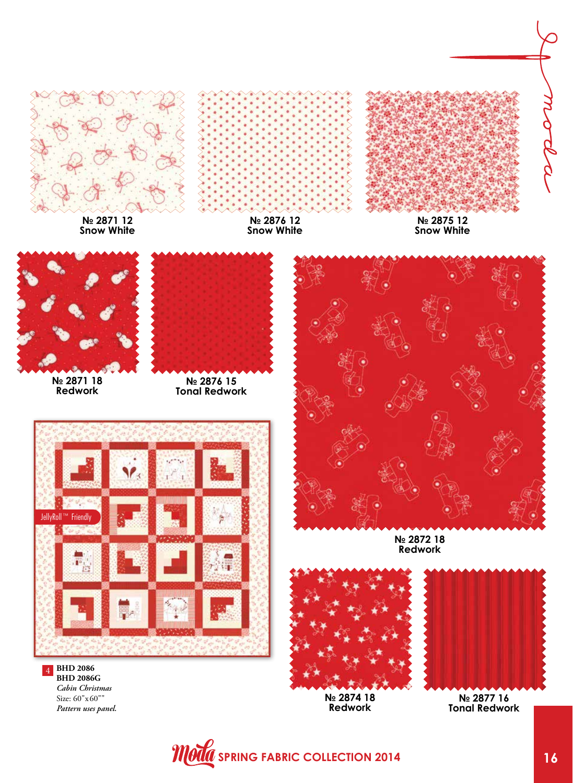

**BHD 2086 BHD 2086G** *Cabin Christmas* Size: 60"x60"" *Pattern uses panel.*

4

*Moda* spring fabric collection 2014

**№ 2874 18 Redwork**

**№ 2877 16 Tonal Redwork**